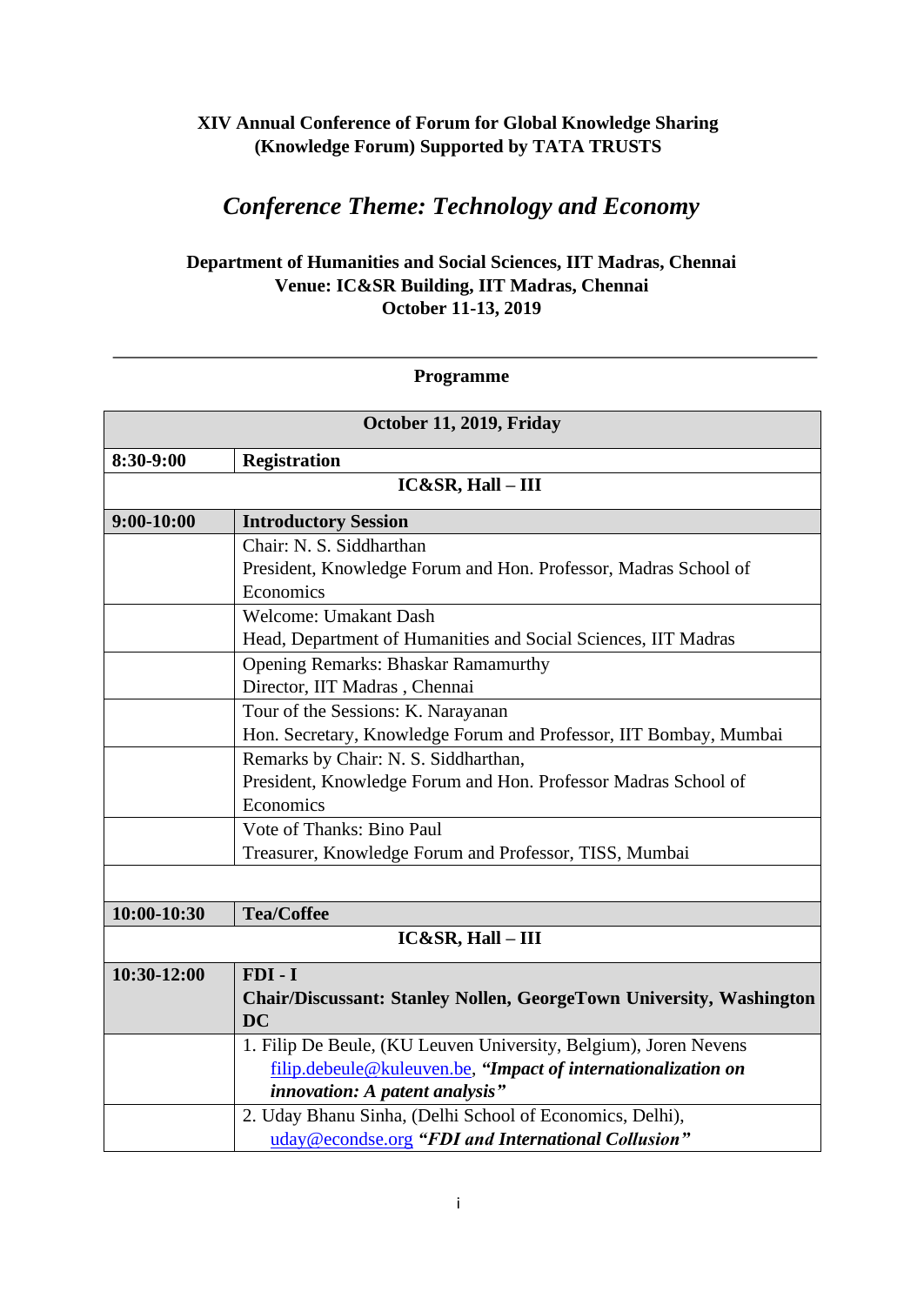## **XIV Annual Conference of Forum for Global Knowledge Sharing (Knowledge Forum) Supported by TATA TRUSTS**

## *Conference Theme: Technology and Economy*

## **Department of Humanities and Social Sciences, IIT Madras, Chennai Venue: IC&SR Building, IIT Madras, Chennai October 11-13, 2019**

## **Programme**

| October 11, 2019, Friday |                                                                     |  |
|--------------------------|---------------------------------------------------------------------|--|
| 8:30-9:00                | <b>Registration</b>                                                 |  |
| $IC&SR, Hall - III$      |                                                                     |  |
| $9:00-10:00$             | <b>Introductory Session</b>                                         |  |
|                          | Chair: N. S. Siddharthan                                            |  |
|                          | President, Knowledge Forum and Hon. Professor, Madras School of     |  |
|                          | Economics                                                           |  |
|                          | <b>Welcome: Umakant Dash</b>                                        |  |
|                          | Head, Department of Humanities and Social Sciences, IIT Madras      |  |
|                          | <b>Opening Remarks: Bhaskar Ramamurthy</b>                          |  |
|                          | Director, IIT Madras, Chennai                                       |  |
|                          | Tour of the Sessions: K. Narayanan                                  |  |
|                          | Hon. Secretary, Knowledge Forum and Professor, IIT Bombay, Mumbai   |  |
|                          | Remarks by Chair: N. S. Siddharthan,                                |  |
|                          | President, Knowledge Forum and Hon. Professor Madras School of      |  |
|                          | Economics                                                           |  |
|                          | Vote of Thanks: Bino Paul                                           |  |
|                          | Treasurer, Knowledge Forum and Professor, TISS, Mumbai              |  |
|                          |                                                                     |  |
| 10:00-10:30              | <b>Tea/Coffee</b>                                                   |  |
| $IC&SR, Hall - III$      |                                                                     |  |
| 10:30-12:00              | $FDI - I$                                                           |  |
|                          | Chair/Discussant: Stanley Nollen, GeorgeTown University, Washington |  |
|                          | <b>DC</b>                                                           |  |
|                          | 1. Filip De Beule, (KU Leuven University, Belgium), Joren Nevens    |  |
|                          | filip.debeule@kuleuven.be, "Impact of internationalization on       |  |
|                          | <i>innovation: A patent analysis</i> "                              |  |
|                          | 2. Uday Bhanu Sinha, (Delhi School of Economics, Delhi),            |  |
|                          | uday@econdse.org "FDI and International Collusion"                  |  |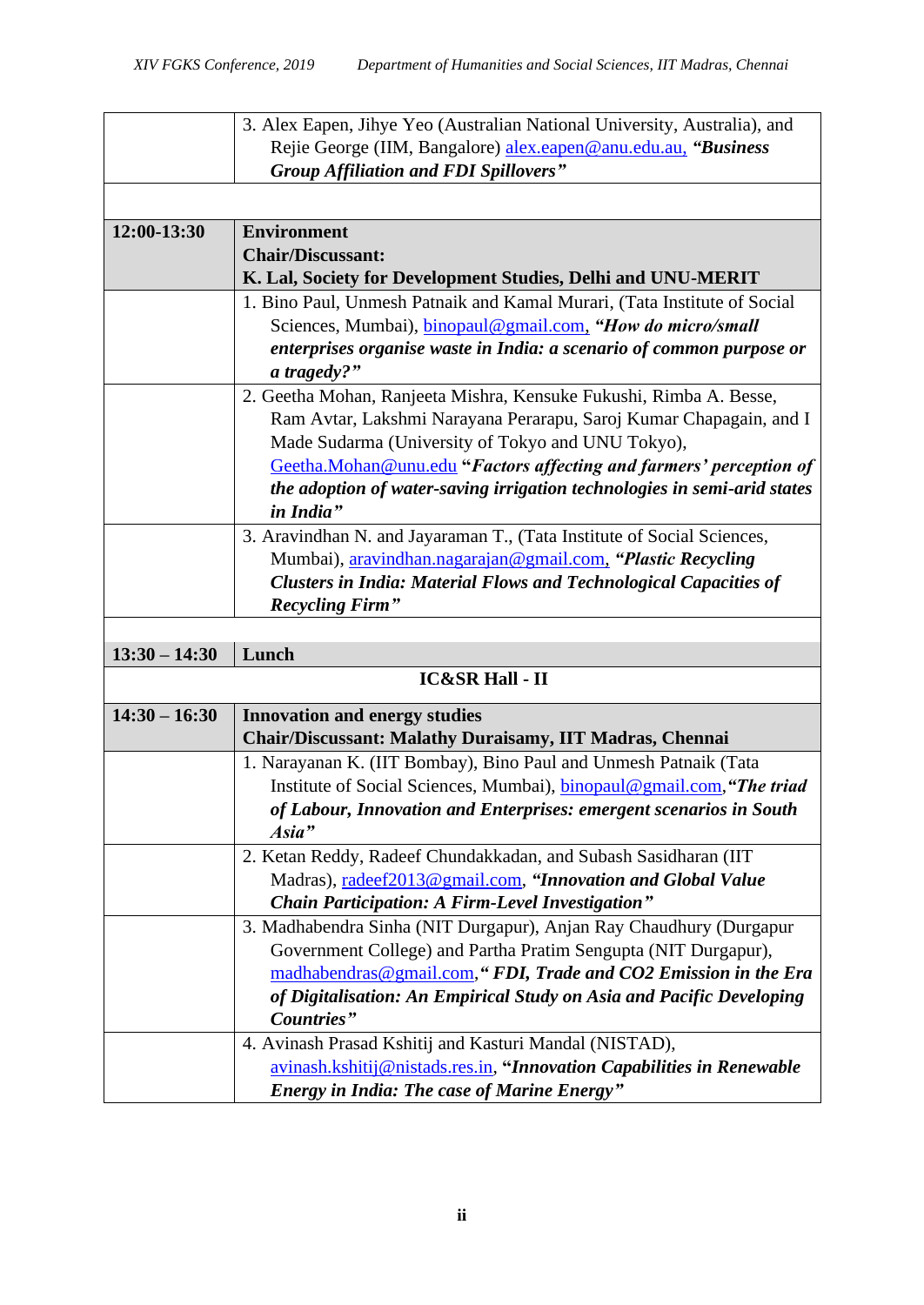|                 | 3. Alex Eapen, Jihye Yeo (Australian National University, Australia), and |
|-----------------|---------------------------------------------------------------------------|
|                 | Rejie George (IIM, Bangalore) alex.eapen@anu.edu.au, "Business            |
|                 | <b>Group Affiliation and FDI Spillovers"</b>                              |
|                 |                                                                           |
| 12:00-13:30     | <b>Environment</b>                                                        |
|                 | <b>Chair/Discussant:</b>                                                  |
|                 | K. Lal, Society for Development Studies, Delhi and UNU-MERIT              |
|                 | 1. Bino Paul, Unmesh Patnaik and Kamal Murari, (Tata Institute of Social  |
|                 | Sciences, Mumbai), <i>binopaul@gmail.com</i> , "How do micro/small        |
|                 | enterprises organise waste in India: a scenario of common purpose or      |
|                 | a tragedy?"                                                               |
|                 | 2. Geetha Mohan, Ranjeeta Mishra, Kensuke Fukushi, Rimba A. Besse,        |
|                 | Ram Avtar, Lakshmi Narayana Perarapu, Saroj Kumar Chapagain, and I        |
|                 | Made Sudarma (University of Tokyo and UNU Tokyo),                         |
|                 | Geetha.Mohan@unu.edu "Factors affecting and farmers' perception of        |
|                 | the adoption of water-saving irrigation technologies in semi-arid states  |
|                 | in India"                                                                 |
|                 | 3. Aravindhan N. and Jayaraman T., (Tata Institute of Social Sciences,    |
|                 | Mumbai), aravindhan.nagarajan@gmail.com, "Plastic Recycling               |
|                 | <b>Clusters in India: Material Flows and Technological Capacities of</b>  |
|                 | <b>Recycling Firm"</b>                                                    |
|                 |                                                                           |
|                 |                                                                           |
| $13:30 - 14:30$ | Lunch                                                                     |
|                 | <b>IC&amp;SR Hall - II</b>                                                |
| $14:30 - 16:30$ | <b>Innovation and energy studies</b>                                      |
|                 | Chair/Discussant: Malathy Duraisamy, IIT Madras, Chennai                  |
|                 | 1. Narayanan K. (IIT Bombay), Bino Paul and Unmesh Patnaik (Tata          |
|                 | Institute of Social Sciences, Mumbai), binopaul@gmail.com, "The triad     |
|                 | of Labour, Innovation and Enterprises: emergent scenarios in South        |
|                 | Asia"                                                                     |
|                 | 2. Ketan Reddy, Radeef Chundakkadan, and Subash Sasidharan (IIT)          |
|                 | Madras), radeef2013@gmail.com, "Innovation and Global Value               |
|                 | <b>Chain Participation: A Firm-Level Investigation"</b>                   |
|                 | 3. Madhabendra Sinha (NIT Durgapur), Anjan Ray Chaudhury (Durgapur        |
|                 | Government College) and Partha Pratim Sengupta (NIT Durgapur),            |
|                 | madhabendras@gmail.com," FDI, Trade and CO2 Emission in the Era           |
|                 | of Digitalisation: An Empirical Study on Asia and Pacific Developing      |
|                 | Countries"                                                                |
|                 | 4. Avinash Prasad Kshitij and Kasturi Mandal (NISTAD),                    |
|                 | avinash.kshitij@nistads.res.in, "Innovation Capabilities in Renewable     |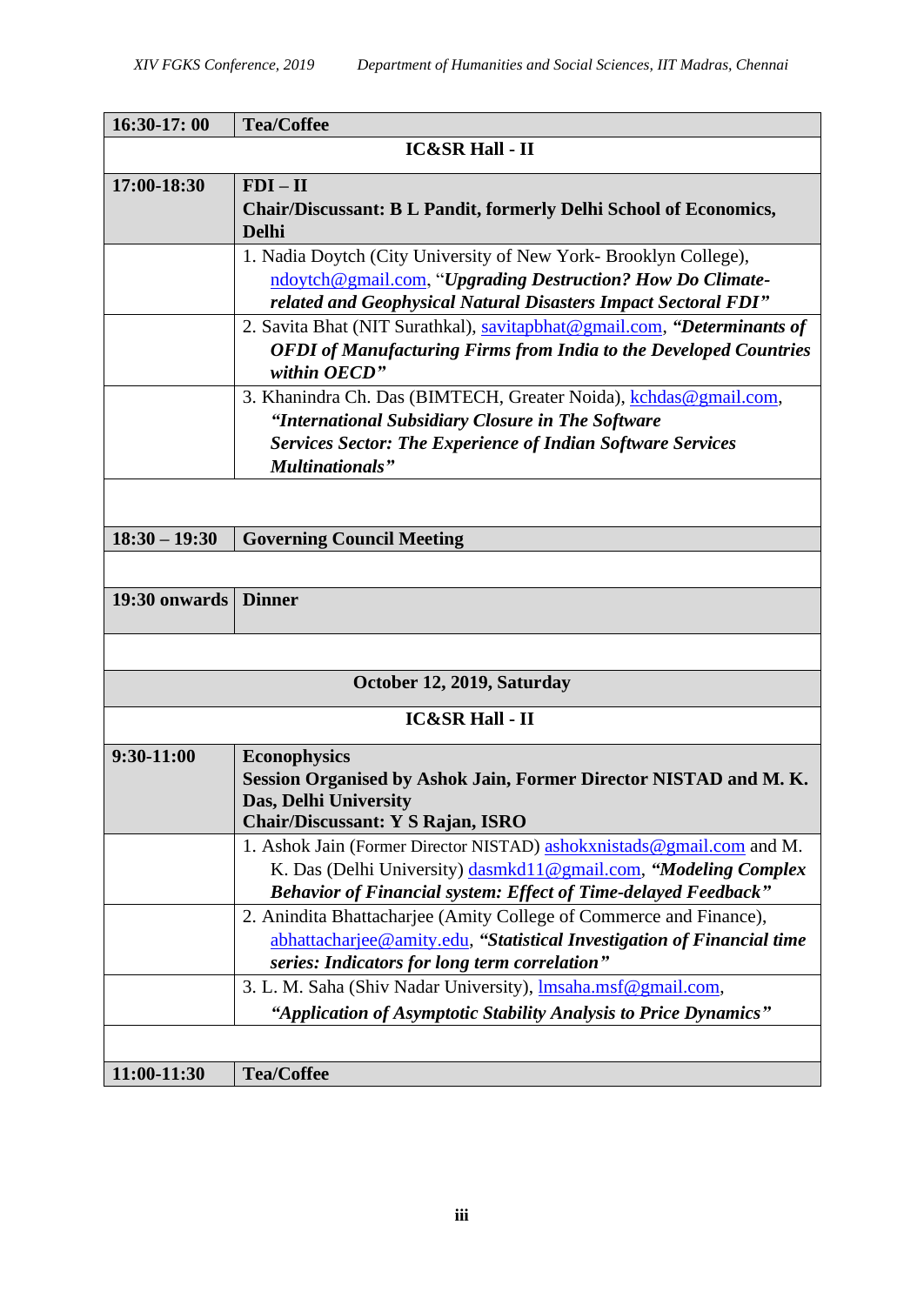| 16:30-17:00                | <b>Tea/Coffee</b>                                                                                                                                                                                                 |  |
|----------------------------|-------------------------------------------------------------------------------------------------------------------------------------------------------------------------------------------------------------------|--|
| <b>IC&amp;SR Hall - II</b> |                                                                                                                                                                                                                   |  |
| 17:00-18:30                | $FDI - II$<br><b>Chair/Discussant: B L Pandit, formerly Delhi School of Economics,</b><br><b>Delhi</b>                                                                                                            |  |
|                            | 1. Nadia Doytch (City University of New York- Brooklyn College),<br>ndoytch@gmail.com, "Upgrading Destruction? How Do Climate-<br>related and Geophysical Natural Disasters Impact Sectoral FDI"                  |  |
|                            | 2. Savita Bhat (NIT Surathkal), savitapbhat@gmail.com, "Determinants of<br><b>OFDI</b> of Manufacturing Firms from India to the Developed Countries<br>within OECD"                                               |  |
|                            | 3. Khanindra Ch. Das (BIMTECH, Greater Noida), kchdas@gmail.com,<br>"International Subsidiary Closure in The Software<br><b>Services Sector: The Experience of Indian Software Services</b>                       |  |
|                            | <b>Multinationals</b> "                                                                                                                                                                                           |  |
|                            |                                                                                                                                                                                                                   |  |
| $18:30 - 19:30$            | <b>Governing Council Meeting</b>                                                                                                                                                                                  |  |
|                            |                                                                                                                                                                                                                   |  |
| 19:30 onwards              | <b>Dinner</b>                                                                                                                                                                                                     |  |
|                            |                                                                                                                                                                                                                   |  |
|                            | October 12, 2019, Saturday                                                                                                                                                                                        |  |
|                            | <b>IC&amp;SR Hall - II</b>                                                                                                                                                                                        |  |
| 9:30-11:00                 | <b>Econophysics</b><br>Session Organised by Ashok Jain, Former Director NISTAD and M.K.<br>Das, Delhi University<br>Chair/Discussant: Y S Rajan, ISRO                                                             |  |
|                            | 1. Ashok Jain (Former Director NISTAD) ashokxnistads@gmail.com and M.<br>K. Das (Delhi University) dasmkd11@gmail.com, "Modeling Complex<br><b>Behavior of Financial system: Effect of Time-delayed Feedback"</b> |  |
|                            | 2. Anindita Bhattacharjee (Amity College of Commerce and Finance),<br>abhattacharjee@amity.edu, "Statistical Investigation of Financial time<br>series: Indicators for long term correlation"                     |  |
|                            | 3. L. M. Saha (Shiv Nadar University), <i>Imsaha.msf@gmail.com</i> ,<br>"Application of Asymptotic Stability Analysis to Price Dynamics"                                                                          |  |
|                            |                                                                                                                                                                                                                   |  |
| 11:00-11:30                | <b>Tea/Coffee</b>                                                                                                                                                                                                 |  |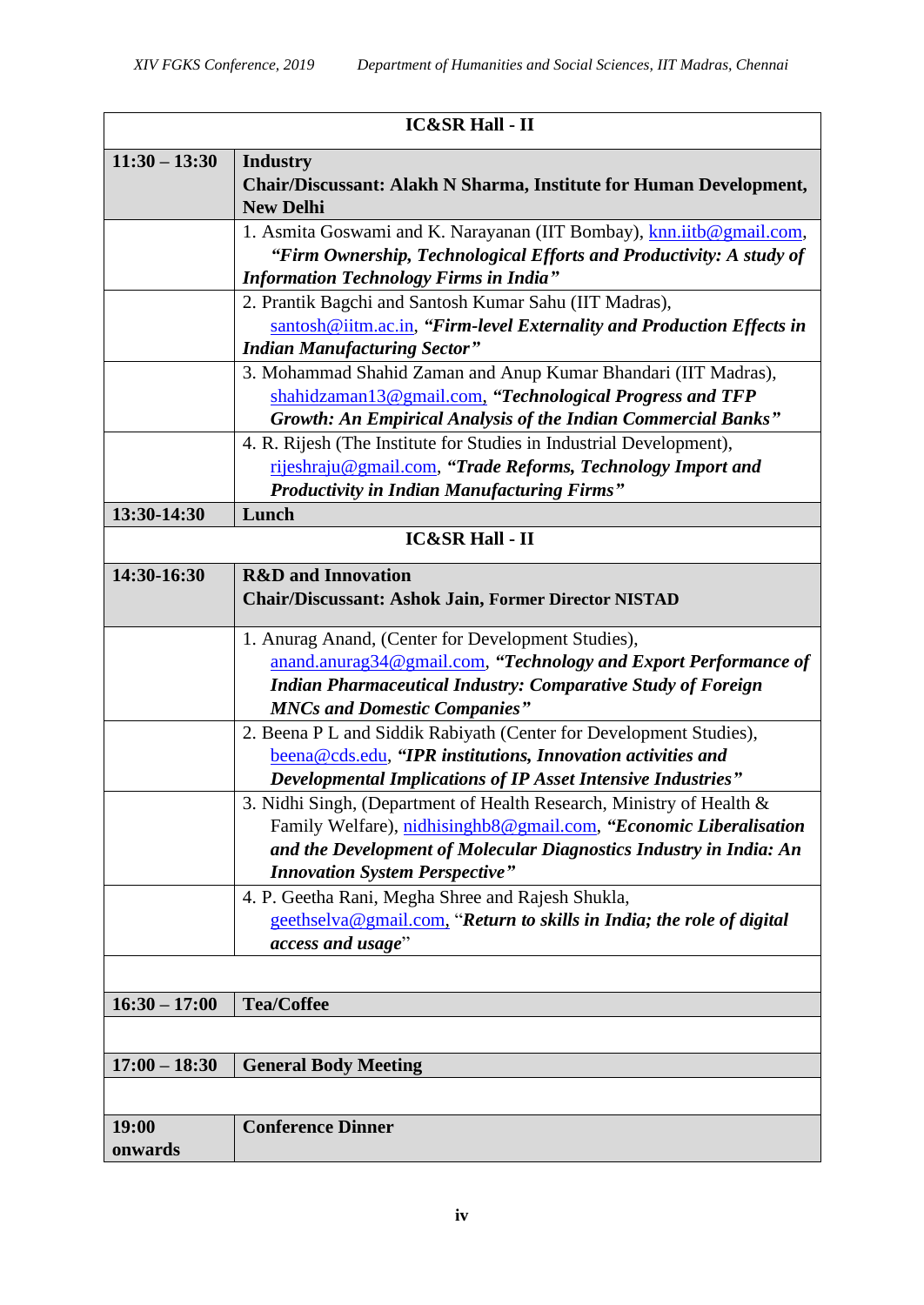| <b>IC&amp;SR Hall - II</b> |                                                                                                                                                                                                                                                          |  |
|----------------------------|----------------------------------------------------------------------------------------------------------------------------------------------------------------------------------------------------------------------------------------------------------|--|
| $11:30 - 13:30$            | <b>Industry</b><br>Chair/Discussant: Alakh N Sharma, Institute for Human Development,<br><b>New Delhi</b>                                                                                                                                                |  |
|                            | 1. Asmita Goswami and K. Narayanan (IIT Bombay), knn.iitb@gmail.com,<br>"Firm Ownership, Technological Efforts and Productivity: A study of<br><b>Information Technology Firms in India"</b>                                                             |  |
|                            | 2. Prantik Bagchi and Santosh Kumar Sahu (IIT Madras),<br>santosh@iitm.ac.in, "Firm-level Externality and Production Effects in<br><b>Indian Manufacturing Sector"</b>                                                                                   |  |
|                            | 3. Mohammad Shahid Zaman and Anup Kumar Bhandari (IIT Madras),<br>shahidzaman13@gmail.com, "Technological Progress and TFP<br><b>Growth: An Empirical Analysis of the Indian Commercial Banks"</b>                                                       |  |
|                            | 4. R. Rijesh (The Institute for Studies in Industrial Development),<br>rijeshraju@gmail.com, "Trade Reforms, Technology Import and<br><b>Productivity in Indian Manufacturing Firms"</b>                                                                 |  |
| 13:30-14:30                | Lunch                                                                                                                                                                                                                                                    |  |
| <b>IC&amp;SR Hall - II</b> |                                                                                                                                                                                                                                                          |  |
| 14:30-16:30                | <b>R&amp;D</b> and Innovation<br><b>Chair/Discussant: Ashok Jain, Former Director NISTAD</b>                                                                                                                                                             |  |
|                            | 1. Anurag Anand, (Center for Development Studies),<br>anand.anurag34@gmail.com, "Technology and Export Performance of<br><b>Indian Pharmaceutical Industry: Comparative Study of Foreign</b><br><b>MNCs and Domestic Companies"</b>                      |  |
|                            | 2. Beena P L and Siddik Rabiyath (Center for Development Studies),<br>beena@cds.edu, "IPR institutions, Innovation activities and<br>Developmental Implications of IP Asset Intensive Industries"                                                        |  |
|                            | 3. Nidhi Singh, (Department of Health Research, Ministry of Health &<br>Family Welfare), nidhisinghb8@gmail.com, "Economic Liberalisation<br>and the Development of Molecular Diagnostics Industry in India: An<br><b>Innovation System Perspective"</b> |  |
|                            | 4. P. Geetha Rani, Megha Shree and Rajesh Shukla,<br>geethselva@gmail.com, "Return to skills in India; the role of digital<br>access and usage"                                                                                                          |  |
|                            |                                                                                                                                                                                                                                                          |  |
| $16:30 - 17:00$            | <b>Tea/Coffee</b>                                                                                                                                                                                                                                        |  |
|                            |                                                                                                                                                                                                                                                          |  |
| $17:00 - 18:30$            | <b>General Body Meeting</b>                                                                                                                                                                                                                              |  |
|                            |                                                                                                                                                                                                                                                          |  |
| 19:00<br>onwards           | <b>Conference Dinner</b>                                                                                                                                                                                                                                 |  |